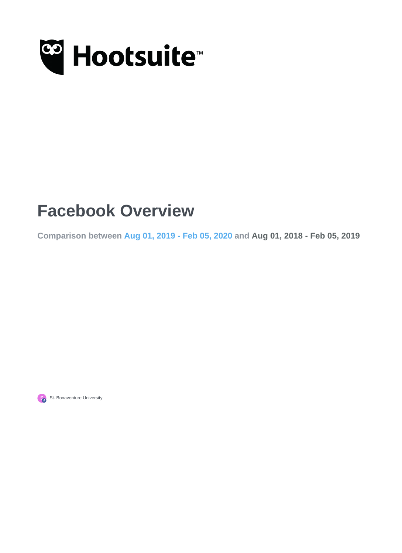

## **Facebook Overview**

**Comparison between Aug 01, 2019 - Feb 05, 2020 and Aug 01, 2018 - Feb 05, 2019**



St. Bonaventure University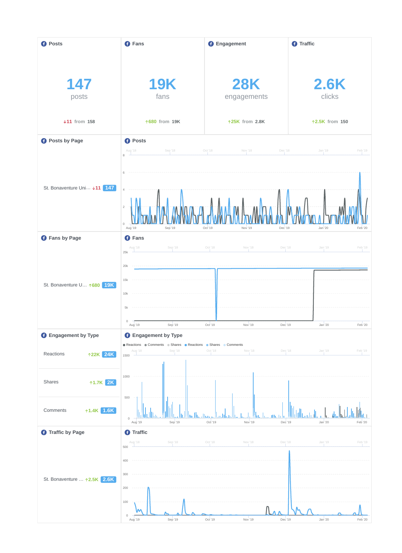